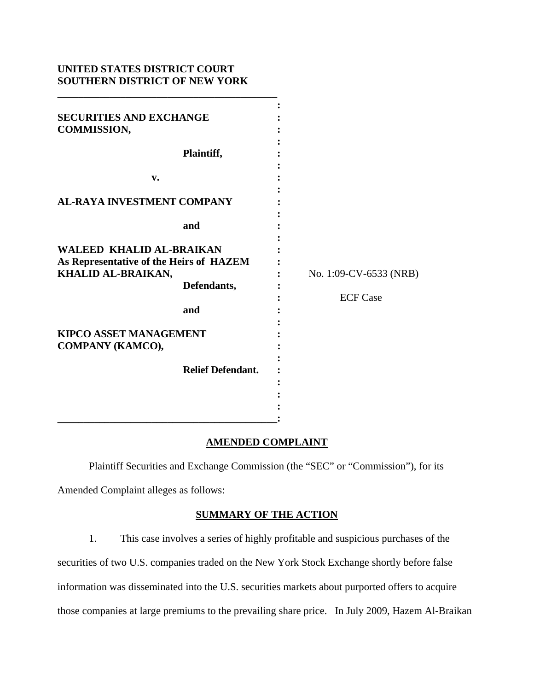# **UNITED STATES DISTRICT COURT SOUTHERN DISTRICT OF NEW YORK**

| <b>SECURITIES AND EXCHANGE</b><br><b>COMMISSION,</b>                                                                                                  |                                                |                                           |
|-------------------------------------------------------------------------------------------------------------------------------------------------------|------------------------------------------------|-------------------------------------------|
|                                                                                                                                                       | Plaintiff,                                     |                                           |
| v.                                                                                                                                                    |                                                |                                           |
| <b>AL-RAYA INVESTMENT COMPANY</b>                                                                                                                     |                                                |                                           |
|                                                                                                                                                       | and                                            |                                           |
| <b>WALEED KHALID AL-BRAIKAN</b><br>As Representative of the Heirs of HAZEM<br>KHALID AL-BRAIKAN,<br><b>KIPCO ASSET MANAGEMENT</b><br>COMPANY (KAMCO), | Defendants,<br>and<br><b>Relief Defendant.</b> | No. 1:09-CV-6533 (NRB)<br><b>ECF Case</b> |
|                                                                                                                                                       |                                                |                                           |

## **AMENDED COMPLAINT**

Plaintiff Securities and Exchange Commission (the "SEC" or "Commission"), for its

Amended Complaint alleges as follows:

## **SUMMARY OF THE ACTION**

1. This case involves a series of highly profitable and suspicious purchases of the

securities of two U.S. companies traded on the New York Stock Exchange shortly before false

information was disseminated into the U.S. securities markets about purported offers to acquire

those companies at large premiums to the prevailing share price. In July 2009, Hazem Al-Braikan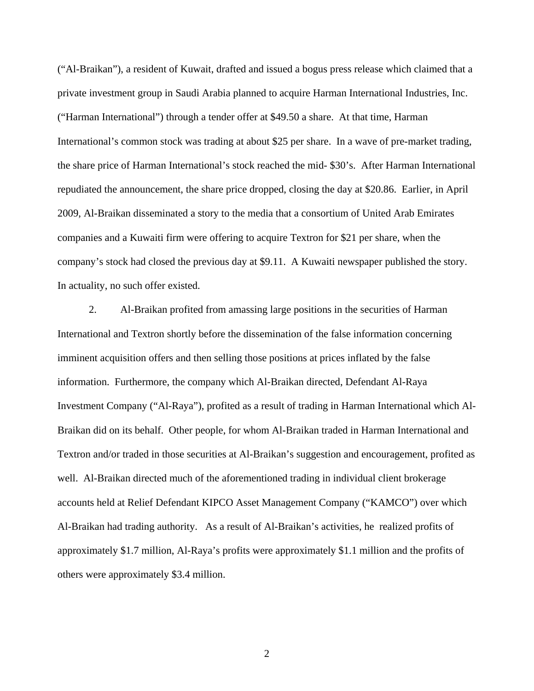company's stock had closed the previous day at \$9.11. A Kuwaiti newspaper published the story. In actuality, no such offer existed. ("Al-Braikan"), a resident of Kuwait, drafted and issued a bogus press release which claimed that a private investment group in Saudi Arabia planned to acquire Harman International Industries, Inc. ("Harman International") through a tender offer at \$49.50 a share. At that time, Harman International's common stock was trading at about \$25 per share. In a wave of pre-market trading, the share price of Harman International's stock reached the mid- \$30's. After Harman International repudiated the announcement, the share price dropped, closing the day at \$20.86. Earlier, in April 2009, Al-Braikan disseminated a story to the media that a consortium of United Arab Emirates companies and a Kuwaiti firm were offering to acquire Textron for \$21 per share, when the

2. Al-Braikan profited from amassing large positions in the securities of Harman International and Textron shortly before the dissemination of the false information concerning imminent acquisition offers and then selling those positions at prices inflated by the false information. Furthermore, the company which Al-Braikan directed, Defendant Al-Raya Investment Company ("Al-Raya"), profited as a result of trading in Harman International which Al-Braikan did on its behalf. Other people, for whom Al-Braikan traded in Harman International and Textron and/or traded in those securities at Al-Braikan's suggestion and encouragement, profited as well. Al-Braikan directed much of the aforementioned trading in individual client brokerage accounts held at Relief Defendant KIPCO Asset Management Company ("KAMCO") over which Al-Braikan had trading authority. As a result of Al-Braikan's activities, he realized profits of approximately \$1.7 million, Al-Raya's profits were approximately \$1.1 million and the profits of others were approximately \$3.4 million.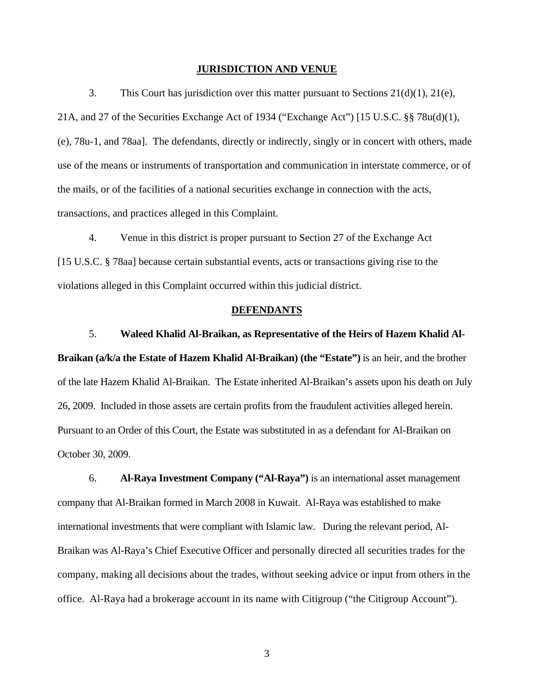#### **JURISDICTION AND VENUE**

3. This Court has jurisdiction over this matter pursuant to Sections  $21(d)(1)$ ,  $21(e)$ , 21A, and 27 of the Securities Exchange Act of 1934 ("Exchange Act") [15 U.S.C. §§ 78u(d)(1), (e), 78u-1, and 78aa]. The defendants, directly or indirectly, singly or in concert with others, made use of the means or instruments of transportation and communication in interstate commerce, or of the mails, or of the facilities of a national securities exchange in connection with the acts, transactions, and practices alleged in this Complaint.

4. Venue in this district is proper pursuant to Section 27 of the Exchange Act [15 U.S.C. § 78aa] because certain substantial events, acts or transactions giving rise to the violations alleged in this Complaint occurred within this judicial district.

#### **DEFENDANTS**

### 5. **Waleed Khalid Al-Braikan, as Representative of the Heirs of Hazem Khalid Al-**

**Braikan (a/k/a the Estate of Hazem Khalid Al-Braikan) (the "Estate")** is an heir, and the brother of the late Hazem Khalid Al-Braikan. The Estate inherited Al-Braikan's assets upon his death on July 26, 2009. Included in those assets are certain profits from the fraudulent activities alleged herein. Pursuant to an Order of this Court, the Estate was substituted in as a defendant for Al-Braikan on October 30, 2009.

6. **Al-Raya Investment Company ("Al-Raya")** is an international asset management company that Al-Braikan formed in March 2008 in Kuwait. Al-Raya was established to make international investments that were compliant with Islamic law. During the relevant period, Al-Braikan was Al-Raya's Chief Executive Officer and personally directed all securities trades for the company, making all decisions about the trades, without seeking advice or input from others in the office. Al-Raya had a brokerage account in its name with Citigroup ("the Citigroup Account").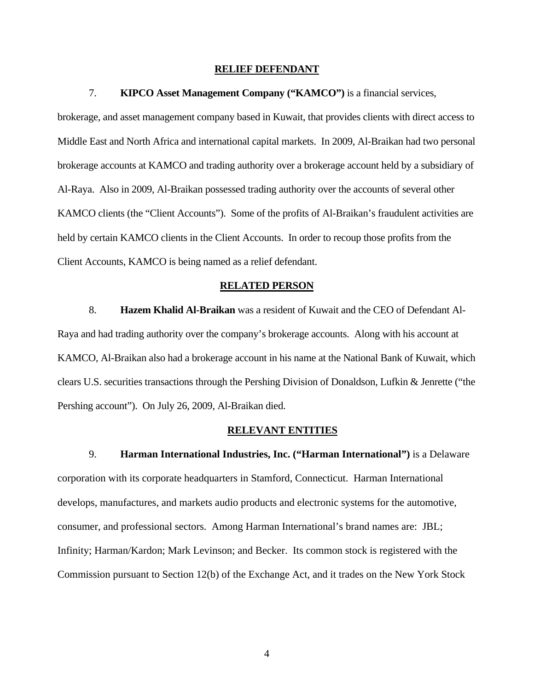### **RELIEF DEFENDANT**

## 7. **KIPCO Asset Management Company ("KAMCO")** is a financial services,

brokerage, and asset management company based in Kuwait, that provides clients with direct access to Middle East and North Africa and international capital markets. In 2009, Al-Braikan had two personal brokerage accounts at KAMCO and trading authority over a brokerage account held by a subsidiary of Al-Raya. Also in 2009, Al-Braikan possessed trading authority over the accounts of several other KAMCO clients (the "Client Accounts"). Some of the profits of Al-Braikan's fraudulent activities are held by certain KAMCO clients in the Client Accounts. In order to recoup those profits from the Client Accounts, KAMCO is being named as a relief defendant.

#### **RELATED PERSON**

8. **Hazem Khalid Al-Braikan** was a resident of Kuwait and the CEO of Defendant Al-Raya and had trading authority over the company's brokerage accounts. Along with his account at KAMCO, Al-Braikan also had a brokerage account in his name at the National Bank of Kuwait, which clears U.S. securities transactions through the Pershing Division of Donaldson, Lufkin & Jenrette ("the Pershing account"). On July 26, 2009, Al-Braikan died.

#### **RELEVANT ENTITIES**

9. **Harman International Industries, Inc. ("Harman International")** is a Delaware corporation with its corporate headquarters in Stamford, Connecticut. Harman International develops, manufactures, and markets audio products and electronic systems for the automotive, consumer, and professional sectors. Among Harman International's brand names are: JBL; Infinity; Harman/Kardon; Mark Levinson; and Becker. Its common stock is registered with the Commission pursuant to Section 12(b) of the Exchange Act, and it trades on the New York Stock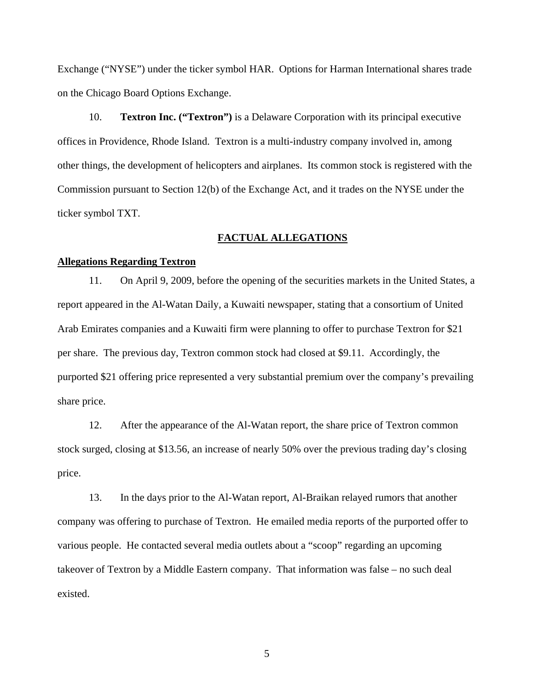Exchange ("NYSE") under the ticker symbol HAR. Options for Harman International shares trade on the Chicago Board Options Exchange.

10. **Textron Inc. ("Textron")** is a Delaware Corporation with its principal executive offices in Providence, Rhode Island. Textron is a multi-industry company involved in, among other things, the development of helicopters and airplanes. Its common stock is registered with the Commission pursuant to Section 12(b) of the Exchange Act, and it trades on the NYSE under the ticker symbol TXT.

## **FACTUAL ALLEGATIONS**

### **Allegations Regarding Textron**

11. On April 9, 2009, before the opening of the securities markets in the United States, a report appeared in the Al-Watan Daily, a Kuwaiti newspaper, stating that a consortium of United Arab Emirates companies and a Kuwaiti firm were planning to offer to purchase Textron for \$21 per share. The previous day, Textron common stock had closed at \$9.11. Accordingly, the purported \$21 offering price represented a very substantial premium over the company's prevailing share price.

12. After the appearance of the Al-Watan report, the share price of Textron common stock surged, closing at \$13.56, an increase of nearly 50% over the previous trading day's closing price.

13. In the days prior to the Al-Watan report, Al-Braikan relayed rumors that another company was offering to purchase of Textron. He emailed media reports of the purported offer to various people. He contacted several media outlets about a "scoop" regarding an upcoming takeover of Textron by a Middle Eastern company. That information was false – no such deal existed.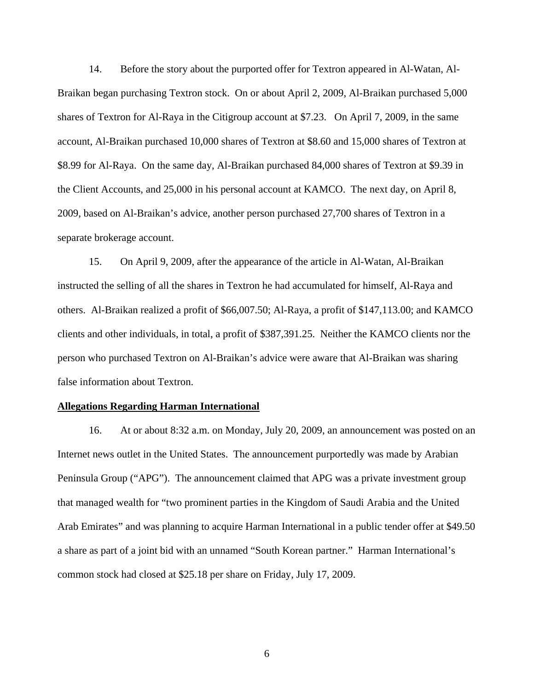14. Before the story about the purported offer for Textron appeared in Al-Watan, Al-Braikan began purchasing Textron stock. On or about April 2, 2009, Al-Braikan purchased 5,000 shares of Textron for Al-Raya in the Citigroup account at \$7.23. On April 7, 2009, in the same account, Al-Braikan purchased 10,000 shares of Textron at \$8.60 and 15,000 shares of Textron at \$8.99 for Al-Raya. On the same day, Al-Braikan purchased 84,000 shares of Textron at \$9.39 in the Client Accounts, and 25,000 in his personal account at KAMCO. The next day, on April 8, 2009, based on Al-Braikan's advice, another person purchased 27,700 shares of Textron in a separate brokerage account.

15. On April 9, 2009, after the appearance of the article in Al-Watan, Al-Braikan instructed the selling of all the shares in Textron he had accumulated for himself, Al-Raya and others. Al-Braikan realized a profit of \$66,007.50; Al-Raya, a profit of \$147,113.00; and KAMCO clients and other individuals, in total, a profit of \$387,391.25. Neither the KAMCO clients nor the person who purchased Textron on Al-Braikan's advice were aware that Al-Braikan was sharing false information about Textron.

### **Allegations Regarding Harman International**

16. At or about 8:32 a.m. on Monday, July 20, 2009, an announcement was posted on an Internet news outlet in the United States. The announcement purportedly was made by Arabian Peninsula Group ("APG"). The announcement claimed that APG was a private investment group that managed wealth for "two prominent parties in the Kingdom of Saudi Arabia and the United Arab Emirates" and was planning to acquire Harman International in a public tender offer at \$49.50 a share as part of a joint bid with an unnamed "South Korean partner." Harman International's common stock had closed at \$25.18 per share on Friday, July 17, 2009.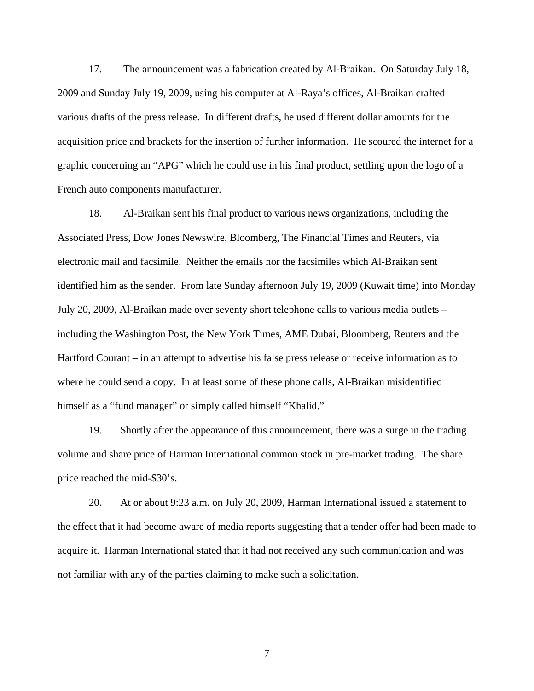17. The announcement was a fabrication created by Al-Braikan. On Saturday July 18, 2009 and Sunday July 19, 2009, using his computer at Al-Raya's offices, Al-Braikan crafted various drafts of the press release. In different drafts, he used different dollar amounts for the acquisition price and brackets for the insertion of further information. He scoured the internet for a graphic concerning an "APG" which he could use in his final product, settling upon the logo of a French auto components manufacturer.

18. Al-Braikan sent his final product to various news organizations, including the Associated Press, Dow Jones Newswire, Bloomberg, The Financial Times and Reuters, via electronic mail and facsimile. Neither the emails nor the facsimiles which Al-Braikan sent identified him as the sender. From late Sunday afternoon July 19, 2009 (Kuwait time) into Monday July 20, 2009, Al-Braikan made over seventy short telephone calls to various media outlets – including the Washington Post, the New York Times, AME Dubai, Bloomberg, Reuters and the Hartford Courant – in an attempt to advertise his false press release or receive information as to where he could send a copy. In at least some of these phone calls, Al-Braikan misidentified himself as a "fund manager" or simply called himself "Khalid."

19. Shortly after the appearance of this announcement, there was a surge in the trading volume and share price of Harman International common stock in pre-market trading. The share price reached the mid-\$30's.

20. At or about 9:23 a.m. on July 20, 2009, Harman International issued a statement to the effect that it had become aware of media reports suggesting that a tender offer had been made to acquire it. Harman International stated that it had not received any such communication and was not familiar with any of the parties claiming to make such a solicitation.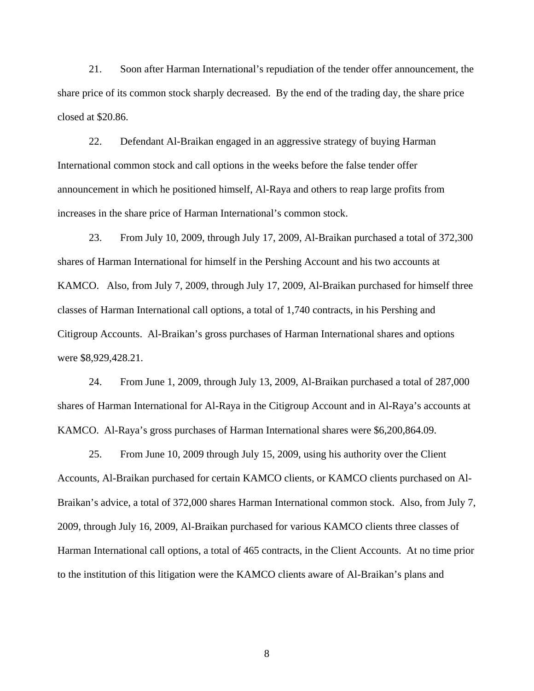21. Soon after Harman International's repudiation of the tender offer announcement, the share price of its common stock sharply decreased. By the end of the trading day, the share price closed at \$20.86.

22. Defendant Al-Braikan engaged in an aggressive strategy of buying Harman International common stock and call options in the weeks before the false tender offer announcement in which he positioned himself, Al-Raya and others to reap large profits from increases in the share price of Harman International's common stock.

23. From July 10, 2009, through July 17, 2009, Al-Braikan purchased a total of 372,300 shares of Harman International for himself in the Pershing Account and his two accounts at KAMCO. Also, from July 7, 2009, through July 17, 2009, Al-Braikan purchased for himself three classes of Harman International call options, a total of 1,740 contracts, in his Pershing and Citigroup Accounts. Al-Braikan's gross purchases of Harman International shares and options were \$8,929,428.21.

24. From June 1, 2009, through July 13, 2009, Al-Braikan purchased a total of 287,000 shares of Harman International for Al-Raya in the Citigroup Account and in Al-Raya's accounts at KAMCO. Al-Raya's gross purchases of Harman International shares were \$6,200,864.09.

25. From June 10, 2009 through July 15, 2009, using his authority over the Client Accounts, Al-Braikan purchased for certain KAMCO clients, or KAMCO clients purchased on Al-Braikan's advice, a total of 372,000 shares Harman International common stock. Also, from July 7, 2009, through July 16, 2009, Al-Braikan purchased for various KAMCO clients three classes of Harman International call options, a total of 465 contracts, in the Client Accounts. At no time prior to the institution of this litigation were the KAMCO clients aware of Al-Braikan's plans and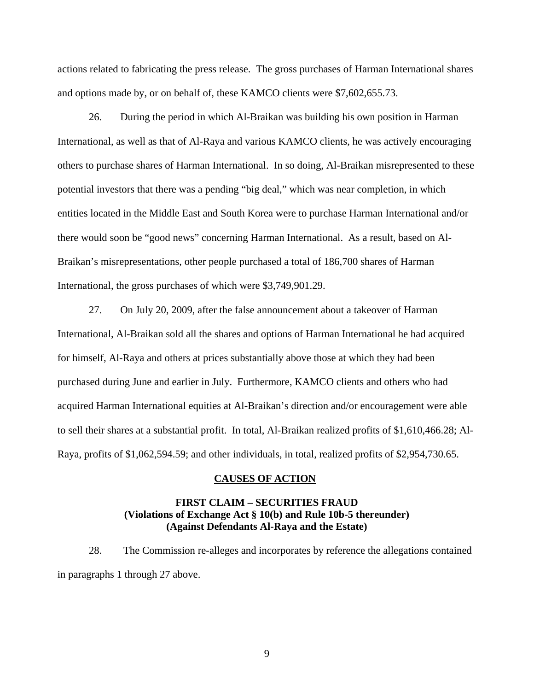actions related to fabricating the press release. The gross purchases of Harman International shares and options made by, or on behalf of, these KAMCO clients were \$7,602,655.73.

26. During the period in which Al-Braikan was building his own position in Harman International, as well as that of Al-Raya and various KAMCO clients, he was actively encouraging others to purchase shares of Harman International. In so doing, Al-Braikan misrepresented to these potential investors that there was a pending "big deal," which was near completion, in which entities located in the Middle East and South Korea were to purchase Harman International and/or there would soon be "good news" concerning Harman International. As a result, based on Al-Braikan's misrepresentations, other people purchased a total of 186,700 shares of Harman International, the gross purchases of which were \$3,749,901.29.

27. On July 20, 2009, after the false announcement about a takeover of Harman International, Al-Braikan sold all the shares and options of Harman International he had acquired for himself, Al-Raya and others at prices substantially above those at which they had been purchased during June and earlier in July. Furthermore, KAMCO clients and others who had acquired Harman International equities at Al-Braikan's direction and/or encouragement were able to sell their shares at a substantial profit. In total, Al-Braikan realized profits of \$1,610,466.28; Al-Raya, profits of \$1,062,594.59; and other individuals, in total, realized profits of \$2,954,730.65.

### **CAUSES OF ACTION**

# **FIRST CLAIM – SECURITIES FRAUD (Violations of Exchange Act § 10(b) and Rule 10b-5 thereunder) (Against Defendants Al-Raya and the Estate)**

28. The Commission re-alleges and incorporates by reference the allegations contained in paragraphs 1 through 27 above.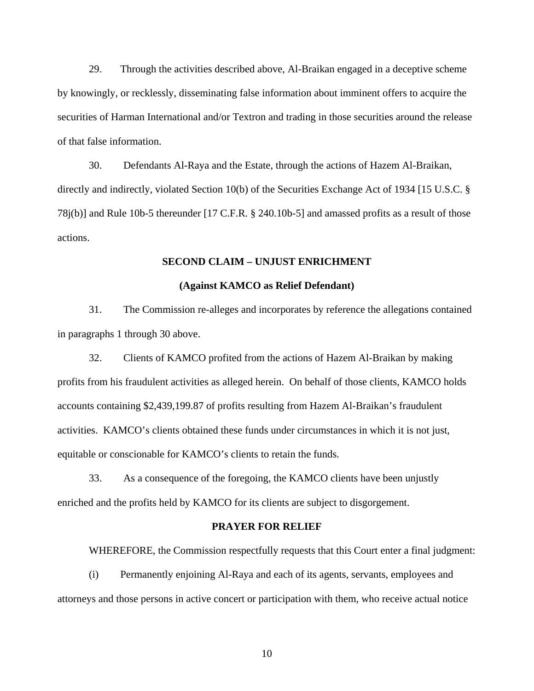29. Through the activities described above, Al-Braikan engaged in a deceptive scheme by knowingly, or recklessly, disseminating false information about imminent offers to acquire the securities of Harman International and/or Textron and trading in those securities around the release of that false information.

30. Defendants Al-Raya and the Estate, through the actions of Hazem Al-Braikan, directly and indirectly, violated Section 10(b) of the Securities Exchange Act of 1934 [15 U.S.C. § 78j(b)] and Rule 10b-5 thereunder [17 C.F.R. § 240.10b-5] and amassed profits as a result of those actions.

### **SECOND CLAIM – UNJUST ENRICHMENT**

## **(Against KAMCO as Relief Defendant)**

31. The Commission re-alleges and incorporates by reference the allegations contained in paragraphs 1 through 30 above.

32. Clients of KAMCO profited from the actions of Hazem Al-Braikan by making profits from his fraudulent activities as alleged herein. On behalf of those clients, KAMCO holds accounts containing \$2,439,199.87 of profits resulting from Hazem Al-Braikan's fraudulent activities. KAMCO's clients obtained these funds under circumstances in which it is not just, equitable or conscionable for KAMCO's clients to retain the funds.

33. As a consequence of the foregoing, the KAMCO clients have been unjustly enriched and the profits held by KAMCO for its clients are subject to disgorgement.

#### **PRAYER FOR RELIEF**

WHEREFORE, the Commission respectfully requests that this Court enter a final judgment:

(i) Permanently enjoining Al-Raya and each of its agents, servants, employees and attorneys and those persons in active concert or participation with them, who receive actual notice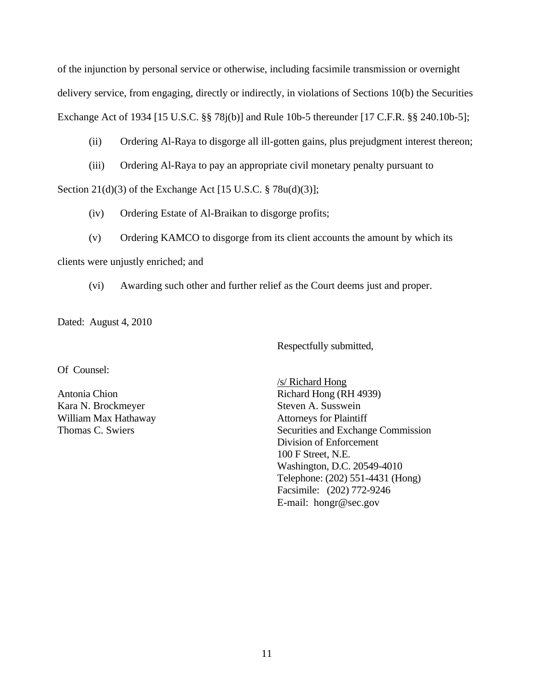of the injunction by personal service or otherwise, including facsimile transmission or overnight delivery service, from engaging, directly or indirectly, in violations of Sections 10(b) the Securities Exchange Act of 1934 [15 U.S.C. §§ 78j(b)] and Rule 10b-5 thereunder [17 C.F.R. §§ 240.10b-5];

# (ii) Ordering Al-Raya to disgorge all ill-gotten gains, plus prejudgment interest thereon;

(iii) Ordering Al-Raya to pay an appropriate civil monetary penalty pursuant to

Section  $21(d)(3)$  of the Exchange Act [15 U.S.C. § 78u(d)(3)];

- (iv) Ordering Estate of Al-Braikan to disgorge profits;
- (v) Ordering KAMCO to disgorge from its client accounts the amount by which its

clients were unjustly enriched; and

(vi) Awarding such other and further relief as the Court deems just and proper.

Dated: August 4, 2010

Respectfully submitted,

Of Counsel:

Thomas C. Swiers Kara N. Brockmeyer Steven A. Susswein William Max Hathaway Attorneys for Plaintiff

 /s/ Richard Hong 100 F Street, N.E. Facsimile: (202) 772-9246 E-mail: hongr@sec.gov Antonia Chion Richard Hong (RH 4939) Securities and Exchange Commission Division of Enforcement Washington, D.C. 20549-4010 Telephone: (202) 551-4431 (Hong)